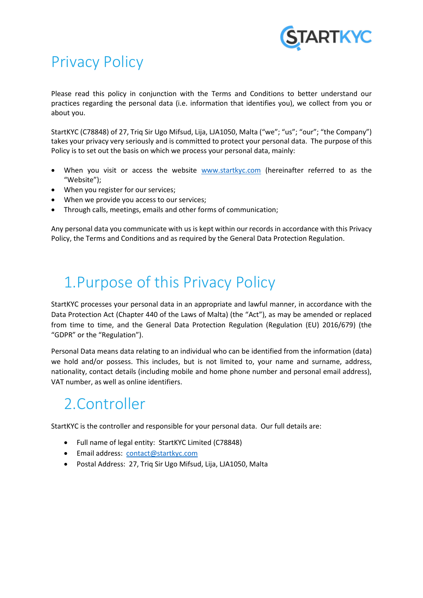

## Privacy Policy

Please read this policy in conjunction with the Terms and Conditions to better understand our practices regarding the personal data (i.e. information that identifies you), we collect from you or about you.

StartKYC (C78848) of 27, Triq Sir Ugo Mifsud, Lija, LJA1050, Malta ("we"; "us"; "our"; "the Company") takes your privacy very seriously and is committed to protect your personal data. The purpose of this Policy is to set out the basis on which we process your personal data, mainly:

- When you visit or access the website [www.startkyc.com](http://www.startkyc.com/) (hereinafter referred to as the "Website");
- When you register for our services;
- When we provide you access to our services;
- Through calls, meetings, emails and other forms of communication;

Any personal data you communicate with us is kept within our records in accordance with this Privacy Policy, the Terms and Conditions and as required by the General Data Protection Regulation.

## 1.Purpose of this Privacy Policy

StartKYC processes your personal data in an appropriate and lawful manner, in accordance with the Data Protection Act (Chapter 440 of the Laws of Malta) (the "Act"), as may be amended or replaced from time to time, and the General Data Protection Regulation (Regulation (EU) 2016/679) (the "GDPR" or the "Regulation").

Personal Data means data relating to an individual who can be identified from the information (data) we hold and/or possess. This includes, but is not limited to, your name and surname, address, nationality, contact details (including mobile and home phone number and personal email address), VAT number, as well as online identifiers.

### 2.Controller

StartKYC is the controller and responsible for your personal data. Our full details are:

- Full name of legal entity: StartKYC Limited (C78848)
- Email address: [contact@startkyc.com](mailto:contact@startkyc.com)
- Postal Address: 27, Triq Sir Ugo Mifsud, Lija, LJA1050, Malta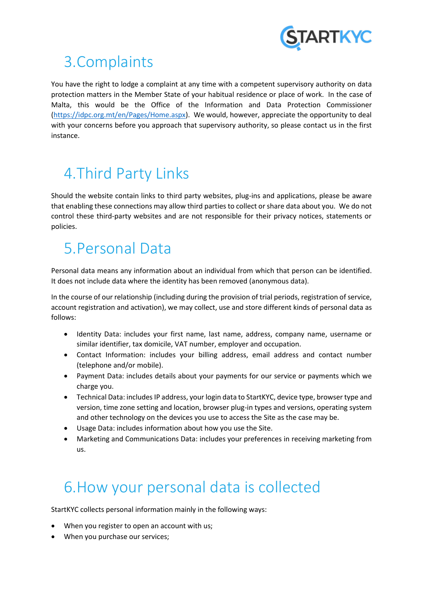

## 3.Complaints

You have the right to lodge a complaint at any time with a competent supervisory authority on data protection matters in the Member State of your habitual residence or place of work. In the case of Malta, this would be the Office of the Information and Data Protection Commissioner [\(https://idpc.org.mt/en/Pages/Home.aspx\)](https://idpc.org.mt/en/Pages/Home.aspx). We would, however, appreciate the opportunity to deal with your concerns before you approach that supervisory authority, so please contact us in the first instance.

# 4.Third Party Links

Should the website contain links to third party websites, plug-ins and applications, please be aware that enabling these connections may allow third parties to collect or share data about you. We do not control these third-party websites and are not responsible for their privacy notices, statements or policies.

## 5.Personal Data

Personal data means any information about an individual from which that person can be identified. It does not include data where the identity has been removed (anonymous data).

In the course of our relationship (including during the provision of trial periods, registration of service, account registration and activation), we may collect, use and store different kinds of personal data as follows:

- Identity Data: includes your first name, last name, address, company name, username or similar identifier, tax domicile, VAT number, employer and occupation.
- Contact Information: includes your billing address, email address and contact number (telephone and/or mobile).
- Payment Data: includes details about your payments for our service or payments which we charge you.
- Technical Data: includes IP address, your login data to StartKYC, device type, browser type and version, time zone setting and location, browser plug-in types and versions, operating system and other technology on the devices you use to access the Site as the case may be.
- Usage Data: includes information about how you use the Site.
- Marketing and Communications Data: includes your preferences in receiving marketing from us.

## 6.How your personal data is collected

StartKYC collects personal information mainly in the following ways:

- When you register to open an account with us;
- When you purchase our services;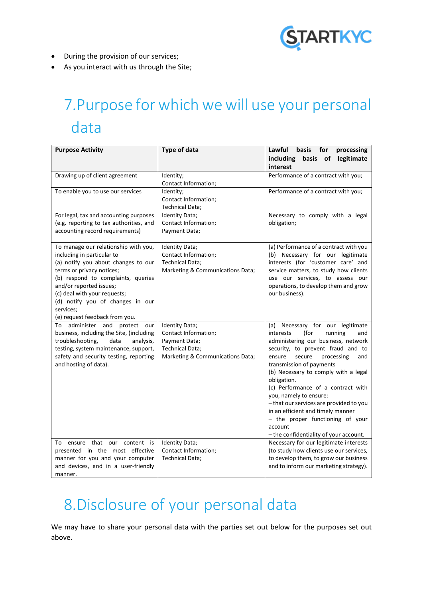

- During the provision of our services;
- As you interact with us through the Site;

# 7.Purpose for which we will use your personal data

| <b>Purpose Activity</b>                                                                                                                                                                                                                                                                                                    | <b>Type of data</b>                                                                                            | Lawful<br><b>basis</b><br>for<br>processing<br>legitimate<br>including<br>basis of                                                                                                                                                                                                                                                                                                                                                                                                                                          |
|----------------------------------------------------------------------------------------------------------------------------------------------------------------------------------------------------------------------------------------------------------------------------------------------------------------------------|----------------------------------------------------------------------------------------------------------------|-----------------------------------------------------------------------------------------------------------------------------------------------------------------------------------------------------------------------------------------------------------------------------------------------------------------------------------------------------------------------------------------------------------------------------------------------------------------------------------------------------------------------------|
|                                                                                                                                                                                                                                                                                                                            |                                                                                                                | interest                                                                                                                                                                                                                                                                                                                                                                                                                                                                                                                    |
| Drawing up of client agreement                                                                                                                                                                                                                                                                                             | Identity;<br>Contact Information;                                                                              | Performance of a contract with you;                                                                                                                                                                                                                                                                                                                                                                                                                                                                                         |
| To enable you to use our services                                                                                                                                                                                                                                                                                          | Identity;<br>Contact Information;<br>Technical Data;                                                           | Performance of a contract with you;                                                                                                                                                                                                                                                                                                                                                                                                                                                                                         |
| For legal, tax and accounting purposes<br>(e.g. reporting to tax authorities, and<br>accounting record requirements)                                                                                                                                                                                                       | Identity Data;<br>Contact Information;<br>Payment Data;                                                        | Necessary to comply with a legal<br>obligation;                                                                                                                                                                                                                                                                                                                                                                                                                                                                             |
| To manage our relationship with you,<br>including in particular to<br>(a) notify you about changes to our<br>terms or privacy notices;<br>(b) respond to complaints, queries<br>and/or reported issues;<br>(c) deal with your requests;<br>(d) notify you of changes in our<br>services;<br>(e) request feedback from you. | Identity Data;<br>Contact Information;<br><b>Technical Data;</b><br>Marketing & Communications Data;           | (a) Performance of a contract with you<br>(b) Necessary for our legitimate<br>interests (for 'customer care' and<br>service matters, to study how clients<br>use our services, to assess our<br>operations, to develop them and grow<br>our business).                                                                                                                                                                                                                                                                      |
| To administer and protect<br>our<br>business, including the Site, (including<br>troubleshooting,<br>data<br>analysis,<br>testing, system maintenance, support,<br>safety and security testing, reporting<br>and hosting of data).                                                                                          | Identity Data;<br>Contact Information;<br>Payment Data;<br>Technical Data;<br>Marketing & Communications Data; | Necessary for our legitimate<br>(a)<br>interests<br>(for<br>running<br>and<br>administering our business, network<br>security, to prevent fraud and to<br>ensure<br>secure<br>processing<br>and<br>transmission of payments<br>(b) Necessary to comply with a legal<br>obligation.<br>(c) Performance of a contract with<br>you, namely to ensure:<br>- that our services are provided to you<br>in an efficient and timely manner<br>- the proper functioning of your<br>account<br>- the confidentiality of your account. |
| ensure that our content is<br>To<br>presented in the most effective<br>manner for you and your computer<br>and devices, and in a user-friendly<br>manner.                                                                                                                                                                  | Identity Data;<br>Contact Information;<br>Technical Data;                                                      | Necessary for our legitimate interests<br>(to study how clients use our services,<br>to develop them, to grow our business<br>and to inform our marketing strategy).                                                                                                                                                                                                                                                                                                                                                        |

## 8.Disclosure of your personal data

We may have to share your personal data with the parties set out below for the purposes set out above.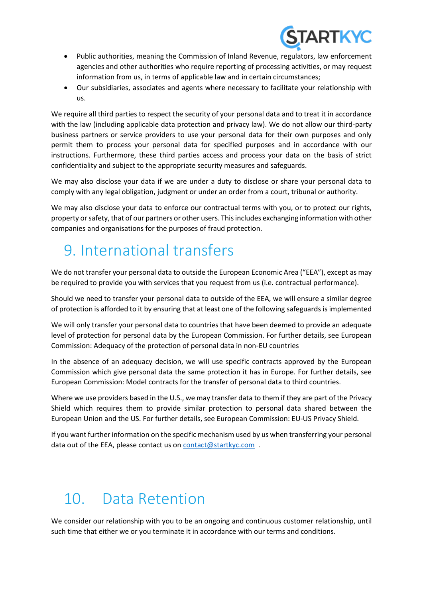

- Public authorities, meaning the Commission of Inland Revenue, regulators, law enforcement agencies and other authorities who require reporting of processing activities, or may request information from us, in terms of applicable law and in certain circumstances;
- Our subsidiaries, associates and agents where necessary to facilitate your relationship with us.

We require all third parties to respect the security of your personal data and to treat it in accordance with the law (including applicable data protection and privacy law). We do not allow our third-party business partners or service providers to use your personal data for their own purposes and only permit them to process your personal data for specified purposes and in accordance with our instructions. Furthermore, these third parties access and process your data on the basis of strict confidentiality and subject to the appropriate security measures and safeguards.

We may also disclose your data if we are under a duty to disclose or share your personal data to comply with any legal obligation, judgment or under an order from a court, tribunal or authority.

We may also disclose your data to enforce our contractual terms with you, or to protect our rights, property or safety, that of our partners or other users. This includes exchanging information with other companies and organisations for the purposes of fraud protection.

## 9. International transfers

We do not transfer your personal data to outside the European Economic Area ("EEA"), except as may be required to provide you with services that you request from us (i.e. contractual performance).

Should we need to transfer your personal data to outside of the EEA, we will ensure a similar degree of protection is afforded to it by ensuring that at least one of the following safeguards is implemented

We will only transfer your personal data to countries that have been deemed to provide an adequate level of protection for personal data by the European Commission. For further details, see European Commission: Adequacy of the protection of personal data in non-EU countries

In the absence of an adequacy decision, we will use specific contracts approved by the European Commission which give personal data the same protection it has in Europe. For further details, see European Commission: Model contracts for the transfer of personal data to third countries.

Where we use providers based in the U.S., we may transfer data to them if they are part of the Privacy Shield which requires them to provide similar protection to personal data shared between the European Union and the US. For further details, see European Commission: EU-US Privacy Shield.

If you want further information on the specific mechanism used by us when transferring your personal data out of the EEA, please contact us o[n contact@startkyc.com](mailto:contact@startkyc.com).

# 10. Data Retention

We consider our relationship with you to be an ongoing and continuous customer relationship, until such time that either we or you terminate it in accordance with our terms and conditions.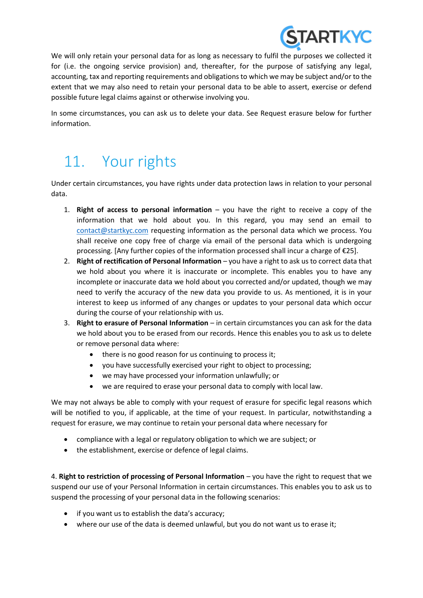

We will only retain your personal data for as long as necessary to fulfil the purposes we collected it for (i.e. the ongoing service provision) and, thereafter, for the purpose of satisfying any legal, accounting, tax and reporting requirements and obligations to which we may be subject and/or to the extent that we may also need to retain your personal data to be able to assert, exercise or defend possible future legal claims against or otherwise involving you.

In some circumstances, you can ask us to delete your data. See Request erasure below for further information.

## 11. Your rights

Under certain circumstances, you have rights under data protection laws in relation to your personal data.

- 1. **Right of access to personal information** you have the right to receive a copy of the information that we hold about you. In this regard, you may send an email to [contact@startkyc.com](mailto:contact@startkyc.com) requesting information as the personal data which we process. You shall receive one copy free of charge via email of the personal data which is undergoing processing. [Any further copies of the information processed shall incur a charge of  $E$ 25].
- 2. **Right of rectification of Personal Information** you have a right to ask us to correct data that we hold about you where it is inaccurate or incomplete. This enables you to have any incomplete or inaccurate data we hold about you corrected and/or updated, though we may need to verify the accuracy of the new data you provide to us. As mentioned, it is in your interest to keep us informed of any changes or updates to your personal data which occur during the course of your relationship with us.
- 3. **Right to erasure of Personal Information** in certain circumstances you can ask for the data we hold about you to be erased from our records. Hence this enables you to ask us to delete or remove personal data where:
	- there is no good reason for us continuing to process it;
	- you have successfully exercised your right to object to processing;
	- we may have processed your information unlawfully; or
	- we are required to erase your personal data to comply with local law.

We may not always be able to comply with your request of erasure for specific legal reasons which will be notified to you, if applicable, at the time of your request. In particular, notwithstanding a request for erasure, we may continue to retain your personal data where necessary for

- compliance with a legal or regulatory obligation to which we are subject; or
- the establishment, exercise or defence of legal claims.

4. **Right to restriction of processing of Personal Information** – you have the right to request that we suspend our use of your Personal Information in certain circumstances. This enables you to ask us to suspend the processing of your personal data in the following scenarios:

- if you want us to establish the data's accuracy;
- where our use of the data is deemed unlawful, but you do not want us to erase it;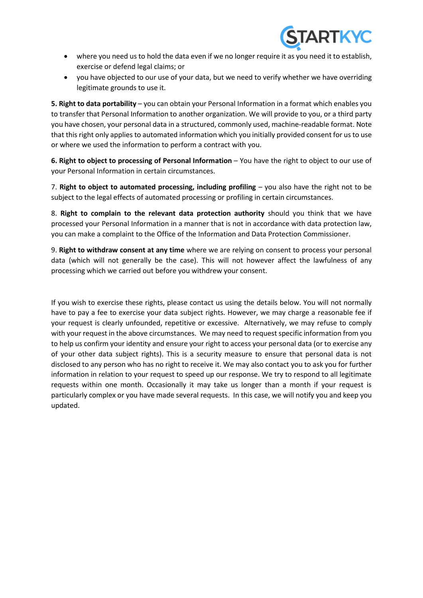

- where you need us to hold the data even if we no longer require it as you need it to establish, exercise or defend legal claims; or
- you have objected to our use of your data, but we need to verify whether we have overriding legitimate grounds to use it.

**5. Right to data portability** – you can obtain your Personal Information in a format which enables you to transfer that Personal Information to another organization. We will provide to you, or a third party you have chosen, your personal data in a structured, commonly used, machine-readable format. Note that this right only applies to automated information which you initially provided consent for us to use or where we used the information to perform a contract with you.

**6. Right to object to processing of Personal Information** – You have the right to object to our use of your Personal Information in certain circumstances.

7. **Right to object to automated processing, including profiling** – you also have the right not to be subject to the legal effects of automated processing or profiling in certain circumstances.

8. **Right to complain to the relevant data protection authority** should you think that we have processed your Personal Information in a manner that is not in accordance with data protection law, you can make a complaint to the Office of the Information and Data Protection Commissioner.

9. **Right to withdraw consent at any time** where we are relying on consent to process your personal data (which will not generally be the case). This will not however affect the lawfulness of any processing which we carried out before you withdrew your consent.

If you wish to exercise these rights, please contact us using the details below. You will not normally have to pay a fee to exercise your data subject rights. However, we may charge a reasonable fee if your request is clearly unfounded, repetitive or excessive. Alternatively, we may refuse to comply with your request in the above circumstances. We may need to request specific information from you to help us confirm your identity and ensure your right to access your personal data (or to exercise any of your other data subject rights). This is a security measure to ensure that personal data is not disclosed to any person who has no right to receive it. We may also contact you to ask you for further information in relation to your request to speed up our response. We try to respond to all legitimate requests within one month. Occasionally it may take us longer than a month if your request is particularly complex or you have made several requests. In this case, we will notify you and keep you updated.